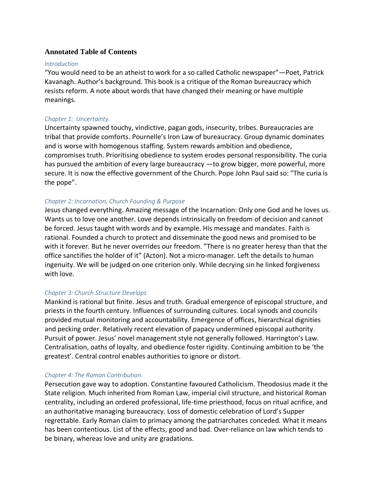# **Annotated Table of Contents**

#### *Introduction*

"You would need to be an atheist to work for a so called Catholic newspaper"—Poet, Patrick Kavanagh. Author's background. This book is a critique of the Roman bureaucracy which resists reform. A note about words that have changed their meaning or have multiple meanings.

### *Chapter 1: Uncertainty.*

Uncertainty spawned touchy, vindictive, pagan gods, insecurity, tribes. Bureaucracies are tribal that provide comforts. Pournelle's Iron Law of bureaucracy. Group dynamic dominates and is worse with homogenous staffing. System rewards ambition and obedience, compromises truth. Prioritising obedience to system erodes personal responsibility. The curia has pursued the ambition of every large bureaucracy —to grow bigger, more powerful, more secure. It is now the effective government of the Church. Pope John Paul said so: "The curia is the pope".

# *Chapter 2: Incarnation, Church Founding & Purpose*

Jesus changed everything. Amazing message of the Incarnation: Only one God and he loves us. Wants us to love one another. Love depends intrinsically on freedom of decision and cannot be forced. Jesus taught with words and by example. His message and mandates. Faith is rational. Founded a church to protect and disseminate the good news and promised to be with it forever. But he never overrides our freedom. "There is no greater heresy than that the office sanctifies the holder of it" (Acton). Not a micro-manager. Left the details to human ingenuity. We will be judged on one criterion only. While decrying sin he linked forgiveness with love.

### *Chapter 3: Church Structure Develops*

Mankind is rational but finite. Jesus and truth. Gradual emergence of episcopal structure, and priests in the fourth century. Influences of surrounding cultures. Local synods and councils provided mutual monitoring and accountability. Emergence of offices, hierarchical dignities and pecking order. Relatively recent elevation of papacy undermined episcopal authority. Pursuit of power. Jesus' novel management style not generally followed. Harrington's Law. Centralisation, oaths of loyalty, and obedience foster rigidity. Continuing ambition to be 'the greatest'. Central control enables authorities to ignore or distort.

### *Chapter 4: The Roman Contribution.*

Persecution gave way to adoption. Constantine favoured Catholicism. Theodosius made it the State religion. Much inherited from Roman Law, imperial civil structure, and historical Roman centrality, including an ordered professional, life-time priesthood, focus on ritual acrifice, and an authoritative managing bureaucracy. Loss of domestic celebration of Lord's Supper regrettable. Early Roman claim to primacy among the patriarchates conceded*.* What it means has been contentious. List of the effects, good and bad. Over-reliance on law which tends to be binary, whereas love and unity are gradations.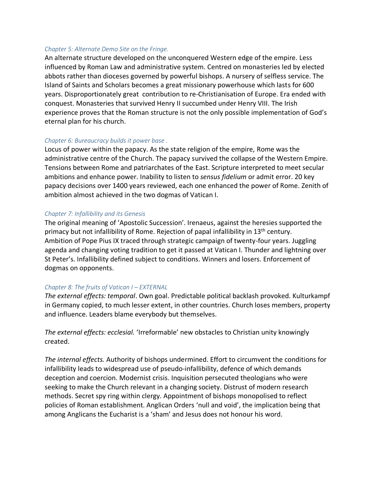### *Chapter 5: Alternate Demo Site on the Fringe.*

An alternate structure developed on the unconquered Western edge of the empire. Less influenced by Roman Law and administrative system. Centred on monasteries led by elected abbots rather than dioceses governed by powerful bishops. A nursery of selfless service. The Island of Saints and Scholars becomes a great missionary powerhouse which lasts for 600 years. Disproportionately great contribution to re-Christianisation of Europe. Era ended with conquest. Monasteries that survived Henry II succumbed under Henry VIII. The Irish experience proves that the Roman structure is not the only possible implementation of God's eternal plan for his church.

# *Chapter 6: Bureaucracy builds it power base .*

Locus of power within the papacy. As the state religion of the empire, Rome was the administrative centre of the Church. The papacy survived the collapse of the Western Empire. Tensions between Rome and patriarchates of the East. Scripture interpreted to meet secular ambitions and enhance power. Inability to listen to *sensus fidelium* or admit error. 20 key papacy decisions over 1400 years reviewed, each one enhanced the power of Rome. Zenith of ambition almost achieved in the two dogmas of Vatican I.

# *Chapter 7: Infallibility and its Genesis*

The original meaning of 'Apostolic Succession'. Irenaeus, against the heresies supported the primacy but not infallibility of Rome. Rejection of papal infallibility in 13<sup>th</sup> century. Ambition of Pope Pius IX traced through strategic campaign of twenty-four years. Juggling agenda and changing voting tradition to get it passed at Vatican I. Thunder and lightning over St Peter's. Infallibility defined subject to conditions. Winners and losers. Enforcement of dogmas on opponents.

# *Chapter 8: The fruits of Vatican I – EXTERNAL*

*The external effects: temporal*. Own goal. Predictable political backlash provoked. Kulturkampf in Germany copied, to much lesser extent, in other countries. Church loses members, property and influence. Leaders blame everybody but themselves.

*The external effects: ecclesial.* 'Irreformable' new obstacles to Christian unity knowingly created.

*The internal effects.* Authority of bishops undermined. Effort to circumvent the conditions for infallibility leads to widespread use of pseudo-infallibility, defence of which demands deception and coercion. Modernist crisis. Inquisition persecuted theologians who were seeking to make the Church relevant in a changing society. Distrust of modern research methods. Secret spy ring within clergy. Appointment of bishops monopolised to reflect policies of Roman establishment. Anglican Orders 'null and void', the implication being that among Anglicans the Eucharist is a 'sham' and Jesus does not honour his word.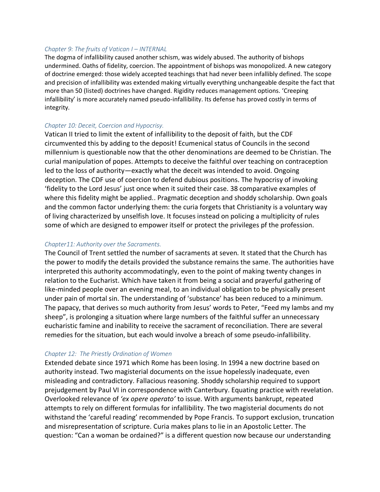#### *Chapter 9: The fruits of Vatican I – INTERNAL*

The dogma of infallibility caused another schism, was widely abused. The authority of bishops undermined. Oaths of fidelity, coercion. The appointment of bishops was monopolized. A new category of doctrine emerged: those widely accepted teachings that had never been infallibly defined. The scope and precision of infallibility was extended making virtually everything unchangeable despite the fact that more than 50 (listed) doctrines have changed. Rigidity reduces management options. 'Creeping infallibility' is more accurately named pseudo-infallibility. Its defense has proved costly in terms of integrity.

### *Chapter 10: Deceit, Coercion and Hypocrisy.*

Vatican II tried to limit the extent of infallibility to the deposit of faith, but the CDF circumvented this by adding to the deposit! Ecumenical status of Councils in the second millennium is questionable now that the other denominations are deemed to be Christian. The curial manipulation of popes. Attempts to deceive the faithful over teaching on contraception led to the loss of authority—exactly what the deceit was intended to avoid. Ongoing deception. The CDF use of coercion to defend dubious positions. The hypocrisy of invoking 'fidelity to the Lord Jesus' just once when it suited their case. 38 comparative examples of where this fidelity might be applied.. Pragmatic deception and shoddy scholarship. Own goals and the common factor underlying them: the curia forgets that Christianity is a voluntary way of living characterized by unselfish love. It focuses instead on policing a multiplicity of rules some of which are designed to empower itself or protect the privileges pf the profession.

### *Chapter11: Authority over the Sacraments.*

The Council of Trent settled the number of sacraments at seven. It stated that the Church has the power to modify the details provided the substance remains the same. The authorities have interpreted this authority accommodatingly, even to the point of making twenty changes in relation to the Eucharist. Which have taken it from being a social and prayerful gathering of like-minded people over an evening meal, to an individual obligation to be physically present under pain of mortal sin. The understanding of 'substance' has been reduced to a minimum. The papacy, that derives so much authority from Jesus' words to Peter, "Feed my lambs and my sheep", is prolonging a situation where large numbers of the faithful suffer an unnecessary eucharistic famine and inability to receive the sacrament of reconciliation. There are several remedies for the situation, but each would involve a breach of some pseudo-infallibility.

# *Chapter 12: The Priestly Ordination of Women*

Extended debate since 1971 which Rome has been losing. In 1994 a new doctrine based on authority instead. Two magisterial documents on the issue hopelessly inadequate, even misleading and contradictory. Fallacious reasoning. Shoddy scholarship required to support prejudgement by Paul VI in correspondence with Canterbury. Equating practice with revelation. Overlooked relevance of *'ex opere operato'* to issue. With arguments bankrupt, repeated attempts to rely on different formulas for infallibility. The two magisterial documents do not withstand the 'careful reading' recommended by Pope Francis. To support exclusion, truncation and misrepresentation of scripture. Curia makes plans to lie in an Apostolic Letter. The question: "Can a woman be ordained?" is a different question now because our understanding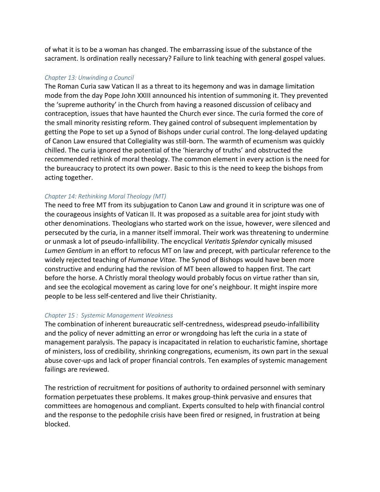of what it is to be a woman has changed. The embarrassing issue of the substance of the sacrament. Is ordination really necessary? Failure to link teaching with general gospel values.

### *Chapter 13: Unwinding a Council*

The Roman Curia saw Vatican II as a threat to its hegemony and was in damage limitation mode from the day Pope John XXIII announced his intention of summoning it. They prevented the 'supreme authority' in the Church from having a reasoned discussion of celibacy and contraception, issues that have haunted the Church ever since. The curia formed the core of the small minority resisting reform. They gained control of subsequent implementation by getting the Pope to set up a Synod of Bishops under curial control. The long-delayed updating of Canon Law ensured that Collegiality was still-born. The warmth of ecumenism was quickly chilled. The curia ignored the potential of the 'hierarchy of truths' and obstructed the recommended rethink of moral theology. The common element in every action is the need for the bureaucracy to protect its own power. Basic to this is the need to keep the bishops from acting together.

# *Chapter 14: Rethinking Moral Theology (MT)*

The need to free MT from its subjugation to Canon Law and ground it in scripture was one of the courageous insights of Vatican II. It was proposed as a suitable area for joint study with other denominations. Theologians who started work on the issue, however, were silenced and persecuted by the curia, in a manner itself immoral. Their work was threatening to undermine or unmask a lot of pseudo-infallibility. The encyclical *Veritatis Splendor* cynically misused *Lumen Gentium* in an effort to refocus MT on law and precept, with particular reference to the widely rejected teaching of *Humanae Vitae.* The Synod of Bishops would have been more constructive and enduring had the revision of MT been allowed to happen first. The cart before the horse. A Christly moral theology would probably focus on virtue rather than sin, and see the ecological movement as caring love for one's neighbour. It might inspire more people to be less self-centered and live their Christianity.

# *Chapter 15 : Systemic Management Weakness*

The combination of inherent bureaucratic self-centredness, widespread pseudo-infallibility and the policy of never admitting an error or wrongdoing has left the curia in a state of management paralysis. The papacy is incapacitated in relation to eucharistic famine, shortage of ministers, loss of credibility, shrinking congregations, ecumenism, its own part in the sexual abuse cover-ups and lack of proper financial controls. Ten examples of systemic management failings are reviewed.

The restriction of recruitment for positions of authority to ordained personnel with seminary formation perpetuates these problems. It makes group-think pervasive and ensures that committees are homogenous and compliant. Experts consulted to help with financial control and the response to the pedophile crisis have been fired or resigned, in frustration at being blocked.